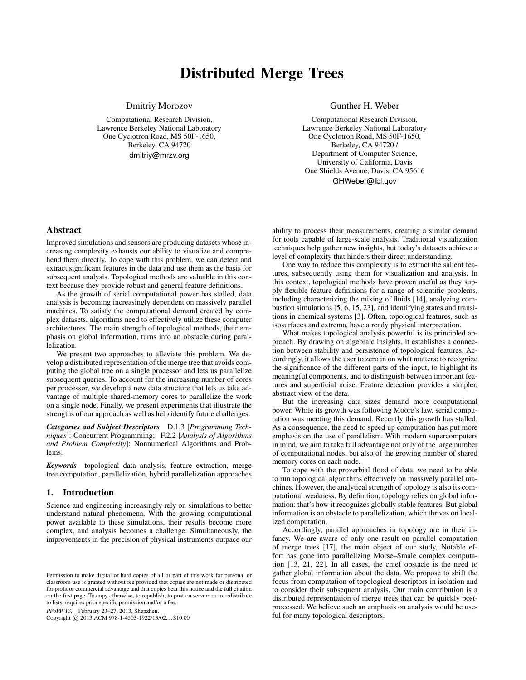# Distributed Merge Trees

Dmitriy Morozov

Computational Research Division, Lawrence Berkeley National Laboratory One Cyclotron Road, MS 50F-1650, Berkeley, CA 94720 dmitriy@mrzv.org

Gunther H. Weber

Computational Research Division, Lawrence Berkeley National Laboratory One Cyclotron Road, MS 50F-1650, Berkeley, CA 94720 / Department of Computer Science, University of California, Davis One Shields Avenue, Davis, CA 95616 GHWeber@lbl.gov

## Abstract

Improved simulations and sensors are producing datasets whose increasing complexity exhausts our ability to visualize and comprehend them directly. To cope with this problem, we can detect and extract significant features in the data and use them as the basis for subsequent analysis. Topological methods are valuable in this context because they provide robust and general feature definitions.

As the growth of serial computational power has stalled, data analysis is becoming increasingly dependent on massively parallel machines. To satisfy the computational demand created by complex datasets, algorithms need to effectively utilize these computer architectures. The main strength of topological methods, their emphasis on global information, turns into an obstacle during parallelization.

We present two approaches to alleviate this problem. We develop a distributed representation of the merge tree that avoids computing the global tree on a single processor and lets us parallelize subsequent queries. To account for the increasing number of cores per processor, we develop a new data structure that lets us take advantage of multiple shared-memory cores to parallelize the work on a single node. Finally, we present experiments that illustrate the strengths of our approach as well as help identify future challenges.

*Categories and Subject Descriptors* D.1.3 [*Programming Techniques*]: Concurrent Programming; F.2.2 [*Analysis of Algorithms and Problem Complexity*]: Nonnumerical Algorithms and Problems.

*Keywords* topological data analysis, feature extraction, merge tree computation, parallelization, hybrid parallelization approaches

#### 1. Introduction

Science and engineering increasingly rely on simulations to better understand natural phenomena. With the growing computational power available to these simulations, their results become more complex, and analysis becomes a challenge. Simultaneously, the improvements in the precision of physical instruments outpace our

PPoPP'13, February 23–27, 2013, Shenzhen.

Copyright © 2013 ACM 978-1-4503-1922/13/02... \$10.00

ability to process their measurements, creating a similar demand for tools capable of large-scale analysis. Traditional visualization techniques help gather new insights, but today's datasets achieve a level of complexity that hinders their direct understanding.

One way to reduce this complexity is to extract the salient features, subsequently using them for visualization and analysis. In this context, topological methods have proven useful as they supply flexible feature definitions for a range of scientific problems, including characterizing the mixing of fluids [14], analyzing combustion simulations [5, 6, 15, 23], and identifying states and transitions in chemical systems [3]. Often, topological features, such as isosurfaces and extrema, have a ready physical interpretation.

What makes topological analysis powerful is its principled approach. By drawing on algebraic insights, it establishes a connection between stability and persistence of topological features. Accordingly, it allows the user to zero in on what matters: to recognize the significance of the different parts of the input, to highlight its meaningful components, and to distinguish between important features and superficial noise. Feature detection provides a simpler, abstract view of the data.

But the increasing data sizes demand more computational power. While its growth was following Moore's law, serial computation was meeting this demand. Recently this growth has stalled. As a consequence, the need to speed up computation has put more emphasis on the use of parallelism. With modern supercomputers in mind, we aim to take full advantage not only of the large number of computational nodes, but also of the growing number of shared memory cores on each node.

To cope with the proverbial flood of data, we need to be able to run topological algorithms effectively on massively parallel machines. However, the analytical strength of topology is also its computational weakness. By definition, topology relies on global information: that's how it recognizes globally stable features. But global information is an obstacle to parallelization, which thrives on localized computation.

Accordingly, parallel approaches in topology are in their infancy. We are aware of only one result on parallel computation of merge trees [17], the main object of our study. Notable effort has gone into parallelizing Morse–Smale complex computation [13, 21, 22]. In all cases, the chief obstacle is the need to gather global information about the data. We propose to shift the focus from computation of topological descriptors in isolation and to consider their subsequent analysis. Our main contribution is a distributed representation of merge trees that can be quickly postprocessed. We believe such an emphasis on analysis would be useful for many topological descriptors.

Permission to make digital or hard copies of all or part of this work for personal or classroom use is granted without fee provided that copies are not made or distributed for profit or commercial advantage and that copies bear this notice and the full citation on the first page. To copy otherwise, to republish, to post on servers or to redistribute to lists, requires prior specific permission and/or a fee.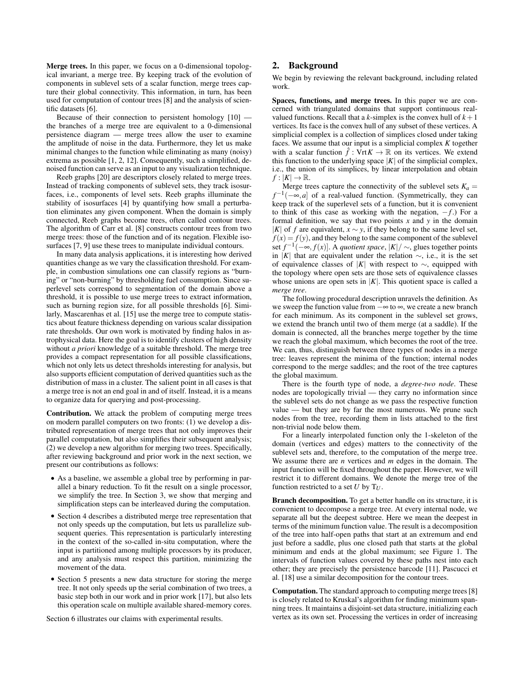Merge trees. In this paper, we focus on a 0-dimensional topological invariant, a merge tree. By keeping track of the evolution of components in sublevel sets of a scalar function, merge trees capture their global connectivity. This information, in turn, has been used for computation of contour trees [8] and the analysis of scientific datasets [6].

Because of their connection to persistent homology [10] the branches of a merge tree are equivalent to a 0-dimensional persistence diagram — merge trees allow the user to examine the amplitude of noise in the data. Furthermore, they let us make minimal changes to the function while eliminating as many (noisy) extrema as possible [1, 2, 12]. Consequently, such a simplified, denoised function can serve as an input to any visualization technique.

Reeb graphs [20] are descriptors closely related to merge trees. Instead of tracking components of sublevel sets, they track isosurfaces, i.e., components of level sets. Reeb graphs illuminate the stability of isosurfaces [4] by quantifying how small a perturbation eliminates any given component. When the domain is simply connected, Reeb graphs become trees, often called contour trees. The algorithm of Carr et al. [8] constructs contour trees from two merge trees: those of the function and of its negation. Flexible isosurfaces [7, 9] use these trees to manipulate individual contours.

In many data analysis applications, it is interesting how derived quantities change as we vary the classification threshold. For example, in combustion simulations one can classify regions as "burning" or "non-burning" by thresholding fuel consumption. Since superlevel sets correspond to segmentation of the domain above a threshold, it is possible to use merge trees to extract information, such as burning region size, for all possible thresholds [6]. Similarly, Mascarenhas et al. [15] use the merge tree to compute statistics about feature thickness depending on various scalar dissipation rate thresholds. Our own work is motivated by finding halos in astrophysical data. Here the goal is to identify clusters of high density without *a priori* knowledge of a suitable threshold. The merge tree provides a compact representation for all possible classifications, which not only lets us detect thresholds interesting for analysis, but also supports efficient computation of derived quantities such as the distribution of mass in a cluster. The salient point in all cases is that a merge tree is not an end goal in and of itself. Instead, it is a means to organize data for querying and post-processing.

Contribution. We attack the problem of computing merge trees on modern parallel computers on two fronts: (1) we develop a distributed representation of merge trees that not only improves their parallel computation, but also simplifies their subsequent analysis; (2) we develop a new algorithm for merging two trees. Specifically, after reviewing background and prior work in the next section, we present our contributions as follows:

- As a baseline, we assemble a global tree by performing in parallel a binary reduction. To fit the result on a single processor, we simplify the tree. In Section 3, we show that merging and simplification steps can be interleaved during the computation.
- Section 4 describes a distributed merge tree representation that not only speeds up the computation, but lets us parallelize subsequent queries. This representation is particularly interesting in the context of the so-called in-situ computation, where the input is partitioned among multiple processors by its producer, and any analysis must respect this partition, minimizing the movement of the data.
- Section 5 presents a new data structure for storing the merge tree. It not only speeds up the serial combination of two trees, a basic step both in our work and in prior work [17], but also lets this operation scale on multiple available shared-memory cores.

Section 6 illustrates our claims with experimental results.

## 2. Background

We begin by reviewing the relevant background, including related work.

Spaces, functions, and merge trees. In this paper we are concerned with triangulated domains that support continuous realvalued functions. Recall that a  $k$ -simplex is the convex hull of  $k+1$ vertices. Its face is the convex hull of any subset of these vertices. A simplicial complex is a collection of simplices closed under taking faces. We assume that our input is a simplicial complex *K* together with a scalar function  $\hat{f}$ : Vrt $K \to \mathbb{R}$  on its vertices. We extend this function to the underlying space  $|K|$  of the simplicial complex, i.e., the union of its simplices, by linear interpolation and obtain  $f:|K| \to \mathbb{R}$ .

Merge trees capture the connectivity of the sublevel sets  $K_a =$  $f^{-1}(-\infty, a]$  of a real-valued function. (Symmetrically, they can keep track of the superlevel sets of a function, but it is convenient to think of this case as working with the negation, −*f* .) For a formal definition, we say that two points *x* and *y* in the domain |*K*| of *f* are equivalent,  $x \sim y$ , if they belong to the same level set,  $f(x) = f(y)$ , and they belong to the same component of the sublevel set  $f^{-1}(-∞, f(x)]$ . A *quotient space*,  $|K|/ ∼$ , glues together points in |*K*| that are equivalent under the relation  $\sim$ , i.e., it is the set of equivalence classes of |*K*| with respect to ∼, equipped with the topology where open sets are those sets of equivalence classes whose unions are open sets in  $|K|$ . This quotient space is called a *merge tree*.

The following procedural description unravels the definition. As we sweep the function value from  $-\infty$  to  $\infty$ , we create a new branch for each minimum. As its component in the sublevel set grows, we extend the branch until two of them merge (at a saddle). If the domain is connected, all the branches merge together by the time we reach the global maximum, which becomes the root of the tree. We can, thus, distinguish between three types of nodes in a merge tree: leaves represent the minima of the function; internal nodes correspond to the merge saddles; and the root of the tree captures the global maximum.

There is the fourth type of node, a *degree-two node*. These nodes are topologically trivial — they carry no information since the sublevel sets do not change as we pass the respective function value — but they are by far the most numerous. We prune such nodes from the tree, recording them in lists attached to the first non-trivial node below them.

For a linearly interpolated function only the 1-skeleton of the domain (vertices and edges) matters to the connectivity of the sublevel sets and, therefore, to the computation of the merge tree. We assume there are *n* vertices and *m* edges in the domain. The input function will be fixed throughout the paper. However, we will restrict it to different domains. We denote the merge tree of the function restricted to a set  $U$  by  $T_U$ .

Branch decomposition. To get a better handle on its structure, it is convenient to decompose a merge tree. At every internal node, we separate all but the deepest subtree. Here we mean the deepest in terms of the minimum function value. The result is a decomposition of the tree into half-open paths that start at an extremum and end just before a saddle, plus one closed path that starts at the global minimum and ends at the global maximum; see Figure 1. The intervals of function values covered by these paths nest into each other; they are precisely the persistence barcode [11]. Pascucci et al. [18] use a similar decomposition for the contour trees.

Computation. The standard approach to computing merge trees [8] is closely related to Kruskal's algorithm for finding minimum spanning trees. It maintains a disjoint-set data structure, initializing each vertex as its own set. Processing the vertices in order of increasing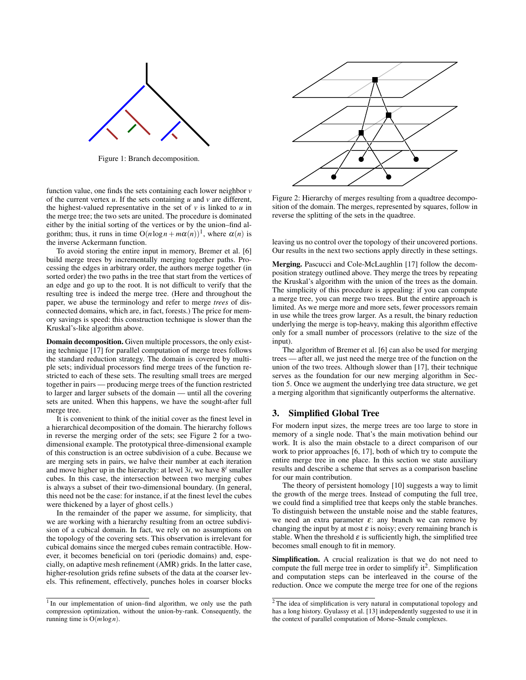

Figure 1: Branch decomposition.

function value, one finds the sets containing each lower neighbor *v* of the current vertex  $u$ . If the sets containing  $u$  and  $v$  are different, the highest-valued representative in the set of  $\nu$  is linked to  $\nu$  in the merge tree; the two sets are united. The procedure is dominated either by the initial sorting of the vertices or by the union–find algorithm; thus, it runs in time  $O(n \log n + m\alpha(n))^1$ , where  $\alpha(n)$  is the inverse Ackermann function.

To avoid storing the entire input in memory, Bremer et al. [6] build merge trees by incrementally merging together paths. Processing the edges in arbitrary order, the authors merge together (in sorted order) the two paths in the tree that start from the vertices of an edge and go up to the root. It is not difficult to verify that the resulting tree is indeed the merge tree. (Here and throughout the paper, we abuse the terminology and refer to merge *trees* of disconnected domains, which are, in fact, forests.) The price for memory savings is speed: this construction technique is slower than the Kruskal's-like algorithm above.

Domain decomposition. Given multiple processors, the only existing technique [17] for parallel computation of merge trees follows the standard reduction strategy. The domain is covered by multiple sets; individual processors find merge trees of the function restricted to each of these sets. The resulting small trees are merged together in pairs — producing merge trees of the function restricted to larger and larger subsets of the domain — until all the covering sets are united. When this happens, we have the sought-after full merge tree.

It is convenient to think of the initial cover as the finest level in a hierarchical decomposition of the domain. The hierarchy follows in reverse the merging order of the sets; see Figure 2 for a twodimensional example. The prototypical three-dimensional example of this construction is an octree subdivision of a cube. Because we are merging sets in pairs, we halve their number at each iteration and move higher up in the hierarchy: at level  $3i$ , we have  $8<sup>i</sup>$  smaller cubes. In this case, the intersection between two merging cubes is always a subset of their two-dimensional boundary. (In general, this need not be the case: for instance, if at the finest level the cubes were thickened by a layer of ghost cells.)

In the remainder of the paper we assume, for simplicity, that we are working with a hierarchy resulting from an octree subdivision of a cubical domain. In fact, we rely on no assumptions on the topology of the covering sets. This observation is irrelevant for cubical domains since the merged cubes remain contractible. However, it becomes beneficial on tori (periodic domains) and, especially, on adaptive mesh refinement (AMR) grids. In the latter case, higher-resolution grids refine subsets of the data at the coarser levels. This refinement, effectively, punches holes in coarser blocks



Figure 2: Hierarchy of merges resulting from a quadtree decomposition of the domain. The merges, represented by squares, follow in reverse the splitting of the sets in the quadtree.

leaving us no control over the topology of their uncovered portions. Our results in the next two sections apply directly in these settings.

Merging. Pascucci and Cole-McLaughlin [17] follow the decomposition strategy outlined above. They merge the trees by repeating the Kruskal's algorithm with the union of the trees as the domain. The simplicity of this procedure is appealing: if you can compute a merge tree, you can merge two trees. But the entire approach is limited. As we merge more and more sets, fewer processors remain in use while the trees grow larger. As a result, the binary reduction underlying the merge is top-heavy, making this algorithm effective only for a small number of processors (relative to the size of the input).

The algorithm of Bremer et al. [6] can also be used for merging trees — after all, we just need the merge tree of the function on the union of the two trees. Although slower than [17], their technique serves as the foundation for our new merging algorithm in Section 5. Once we augment the underlying tree data structure, we get a merging algorithm that significantly outperforms the alternative.

## 3. Simplified Global Tree

For modern input sizes, the merge trees are too large to store in memory of a single node. That's the main motivation behind our work. It is also the main obstacle to a direct comparison of our work to prior approaches [6, 17], both of which try to compute the entire merge tree in one place. In this section we state auxiliary results and describe a scheme that serves as a comparison baseline for our main contribution.

The theory of persistent homology [10] suggests a way to limit the growth of the merge trees. Instead of computing the full tree, we could find a simplified tree that keeps only the stable branches. To distinguish between the unstable noise and the stable features, we need an extra parameter  $\varepsilon$ : any branch we can remove by changing the input by at most  $\varepsilon$  is noisy; every remaining branch is stable. When the threshold  $\varepsilon$  is sufficiently high, the simplified tree becomes small enough to fit in memory.

Simplification. A crucial realization is that we do not need to compute the full merge tree in order to simplify  $it^2$ . Simplification and computation steps can be interleaved in the course of the reduction. Once we compute the merge tree for one of the regions

<sup>&</sup>lt;sup>1</sup> In our implementation of union–find algorithm, we only use the path compression optimization, without the union-by-rank. Consequently, the running time is O(*m*log*n*).

<sup>2</sup> The idea of simplification is very natural in computational topology and has a long history. Gyulassy et al. [13] independently suggested to use it in the context of parallel computation of Morse–Smale complexes.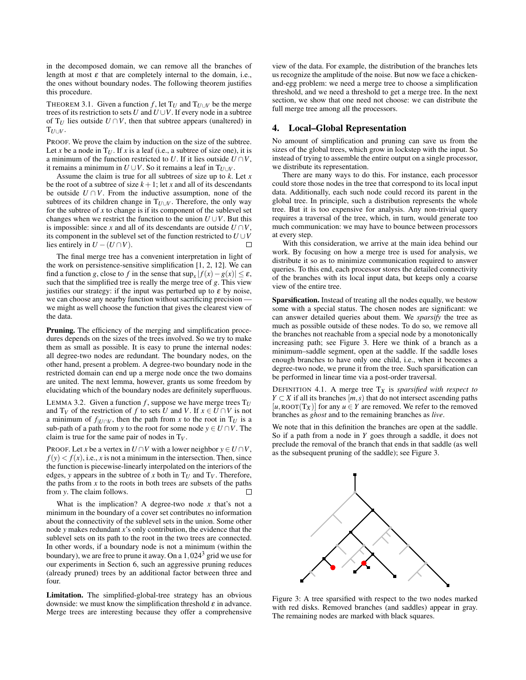in the decomposed domain, we can remove all the branches of length at most  $\varepsilon$  that are completely internal to the domain, i.e., the ones without boundary nodes. The following theorem justifies this procedure.

THEOREM 3.1. Given a function *f*, let  $T_U$  and  $T_{U \cup V}$  be the merge trees of its restriction to sets  $U$  and  $U \cup V$ . If every node in a subtree of  $T_U$  lies outside  $U \cap V$ , then that subtree appears (unaltered) in  $T_{U\cup V}$ .

PROOF. We prove the claim by induction on the size of the subtree. Let *x* be a node in  $T_U$ . If *x* is a leaf (i.e., a subtree of size one), it is a minimum of the function restricted to *U*. If it lies outside  $U \cap V$ , it remains a minimum in  $U \cup V$ . So it remains a leaf in  $T_{U\cup V}$ .

Assume the claim is true for all subtrees of size up to *k*. Let *x* be the root of a subtree of size  $k+1$ ; let *x* and all of its descendants be outside  $U \cap V$ . From the inductive assumption, none of the subtrees of its children change in  $T_{U\cup V}$ . Therefore, the only way for the subtree of *x* to change is if its component of the sublevel set changes when we restrict the function to the union  $U \cup V$ . But this is impossible: since *x* and all of its descendants are outside  $U \cap V$ , its component in the sublevel set of the function restricted to  $U \cup V$ lies entirely in  $U - (U \cap V)$ . П

The final merge tree has a convenient interpretation in light of the work on persistence-sensitive simplification [1, 2, 12]. We can find a function *g*, close to *f* in the sense that  $\sup_x |f(x) - g(x)| \le \varepsilon$ , such that the simplified tree is really the merge tree of *g*. This view justifies our strategy: if the input was perturbed up to  $\varepsilon$  by noise, we can choose any nearby function without sacrificing precision we might as well choose the function that gives the clearest view of the data.

Pruning. The efficiency of the merging and simplification procedures depends on the sizes of the trees involved. So we try to make them as small as possible. It is easy to prune the internal nodes: all degree-two nodes are redundant. The boundary nodes, on the other hand, present a problem. A degree-two boundary node in the restricted domain can end up a merge node once the two domains are united. The next lemma, however, grants us some freedom by elucidating which of the boundary nodes are definitely superfluous.

LEMMA 3.2. Given a function  $f$ , suppose we have merge trees  $T_U$ and  $T_V$  of the restriction of *f* to sets *U* and *V*. If  $x \in U \cap V$  is not a minimum of  $f|_{U \cap V}$ , then the path from *x* to the root in  $T_U$  is a sub-path of a path from *y* to the root for some node  $y \in U \cap V$ . The claim is true for the same pair of nodes in T*V* .

PROOF. Let *x* be a vertex in  $U \cap V$  with a lower neighbor  $y \in U \cap V$ ,  $f(y) < f(x)$ , i.e., *x* is not a minimum in the intersection. Then, since the function is piecewise-linearly interpolated on the interiors of the edges, *y* appears in the subtree of *x* both in  $T_U$  and  $T_V$ . Therefore, the paths from  $x$  to the roots in both trees are subsets of the paths from *y*. The claim follows. П

What is the implication? A degree-two node  $x$  that's not a minimum in the boundary of a cover set contributes no information about the connectivity of the sublevel sets in the union. Some other node *y* makes redundant *x*'s only contribution, the evidence that the sublevel sets on its path to the root in the two trees are connected. In other words, if a boundary node is not a minimum (within the boundary), we are free to prune it away. On a  $1,024<sup>3</sup>$  grid we use for our experiments in Section 6, such an aggressive pruning reduces (already pruned) trees by an additional factor between three and four.

Limitation. The simplified-global-tree strategy has an obvious downside: we must know the simplification threshold  $\varepsilon$  in advance. Merge trees are interesting because they offer a comprehensive

view of the data. For example, the distribution of the branches lets us recognize the amplitude of the noise. But now we face a chickenand-egg problem: we need a merge tree to choose a simplification threshold, and we need a threshold to get a merge tree. In the next section, we show that one need not choose: we can distribute the full merge tree among all the processors.

#### 4. Local–Global Representation

No amount of simplification and pruning can save us from the sizes of the global trees, which grow in lockstep with the input. So instead of trying to assemble the entire output on a single processor, we distribute its representation.

There are many ways to do this. For instance, each processor could store those nodes in the tree that correspond to its local input data. Additionally, each such node could record its parent in the global tree. In principle, such a distribution represents the whole tree. But it is too expensive for analysis. Any non-trivial query requires a traversal of the tree, which, in turn, would generate too much communication: we may have to bounce between processors at every step.

With this consideration, we arrive at the main idea behind our work. By focusing on how a merge tree is used for analysis, we distribute it so as to minimize communication required to answer queries. To this end, each processor stores the detailed connectivity of the branches with its local input data, but keeps only a coarse view of the entire tree.

Sparsification. Instead of treating all the nodes equally, we bestow some with a special status. The chosen nodes are significant: we can answer detailed queries about them. We *sparsify* the tree as much as possible outside of these nodes. To do so, we remove all the branches not reachable from a special node by a monotonically increasing path; see Figure 3. Here we think of a branch as a minimum–saddle segment, open at the saddle. If the saddle loses enough branches to have only one child, i.e., when it becomes a degree-two node, we prune it from the tree. Such sparsification can be performed in linear time via a post-order traversal.

DEFINITION 4.1. A merge tree  $T_X$  is *sparsified with respect to Y*  $\subset$  *X* if all its branches  $[m, s]$  that do not intersect ascending paths  $[u, \text{ROT}(T_X)]$  for any  $u \in Y$  are removed. We refer to the removed branches as *ghost* and to the remaining branches as *live*.

We note that in this definition the branches are open at the saddle. So if a path from a node in *Y* goes through a saddle, it does not preclude the removal of the branch that ends in that saddle (as well as the subsequent pruning of the saddle); see Figure 3.



Figure 3: A tree sparsified with respect to the two nodes marked with red disks. Removed branches (and saddles) appear in gray. The remaining nodes are marked with black squares.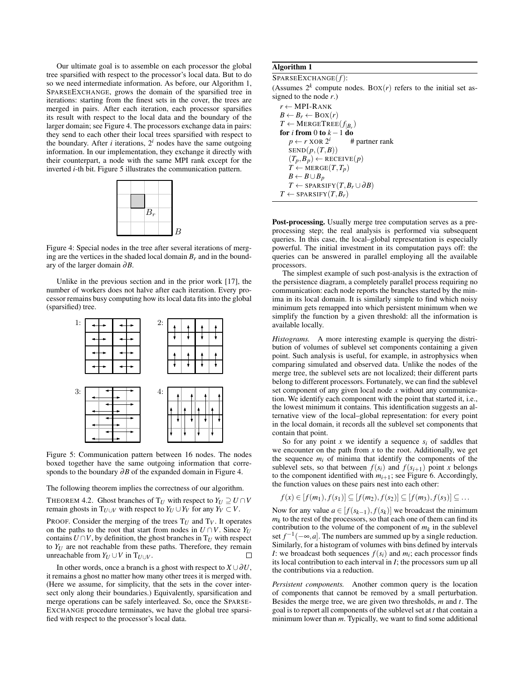Our ultimate goal is to assemble on each processor the global tree sparsified with respect to the processor's local data. But to do so we need intermediate information. As before, our Algorithm 1, SPARSEEXCHANGE, grows the domain of the sparsified tree in iterations: starting from the finest sets in the cover, the trees are merged in pairs. After each iteration, each processor sparsifies its result with respect to the local data and the boundary of the larger domain; see Figure 4. The processors exchange data in pairs: they send to each other their local trees sparsified with respect to the boundary. After  $i$  iterations,  $2^i$  nodes have the same outgoing information. In our implementation, they exchange it directly with their counterpart, a node with the same MPI rank except for the inverted *i*-th bit. Figure 5 illustrates the communication pattern.



Figure 4: Special nodes in the tree after several iterations of merging are the vertices in the shaded local domain  $B_r$  and in the boundary of the larger domain ∂*B*.

Unlike in the previous section and in the prior work [17], the number of workers does not halve after each iteration. Every processor remains busy computing how its local data fits into the global (sparsified) tree.



Figure 5: Communication pattern between 16 nodes. The nodes boxed together have the same outgoing information that corresponds to the boundary ∂*B* of the expanded domain in Figure 4.

The following theorem implies the correctness of our algorithm.

THEOREM 4.2. Ghost branches of  $T_U$  with respect to  $Y_U \supseteq U \cap V$ remain ghosts in  $T_{U\cup V}$  with respect to  $Y_U \cup Y_V$  for any  $Y_V \subset V$ .

PROOF. Consider the merging of the trees  $T_U$  and  $T_V$ . It operates on the paths to the root that start from nodes in  $U \cap V$ . Since  $Y_U$ contains  $U \cap V$ , by definition, the ghost branches in  $T_U$  with respect to  $Y_U$  are not reachable from these paths. Therefore, they remain unreachable from  $Y_U \cup V$  in  $T_U \cup Y$ unreachable from  $Y_U \cup V$  in  $T_{U \cup V}$ .

In other words, once a branch is a ghost with respect to  $X \cup \partial U$ , it remains a ghost no matter how many other trees it is merged with. (Here we assume, for simplicity, that the sets in the cover intersect only along their boundaries.) Equivalently, sparsification and merge operations can be safely interleaved. So, once the SPARSE-EXCHANGE procedure terminates, we have the global tree sparsified with respect to the processor's local data.

#### Algorithm 1

```
SPARSEEXCHANGE(f):
```
(Assumes  $2^k$  compute nodes. BOX(*r*) refers to the initial set assigned to the node *r*.)

*r* ← MPI-RANK  $B \leftarrow B_r \leftarrow \text{Box}(r)$  $T \leftarrow \text{MERGETREE}(f_{|B_r})$ for *i* from 0 to  $k - 1$  do  $p \leftarrow r$  XOR  $2^i$ *<sup>i</sup>* # partner rank SEND(*p*,(*T*,*B*))  $(T_p, B_p) \leftarrow$  RECEIVE $(p)$  $T \leftarrow \text{MERGE}(T, T_p)$ *B* ← *B*∪*B*<sub>*p*</sub> *T* ← SPARSIFY $(T, B_r \cup \partial B)$  $T \leftarrow$  SPARSIFY $(T, B_r)$ 

Post-processing. Usually merge tree computation serves as a preprocessing step; the real analysis is performed via subsequent queries. In this case, the local–global representation is especially powerful. The initial investment in its computation pays off: the queries can be answered in parallel employing all the available processors.

The simplest example of such post-analysis is the extraction of the persistence diagram, a completely parallel process requiring no communication: each node reports the branches started by the minima in its local domain. It is similarly simple to find which noisy minimum gets remapped into which persistent minimum when we simplify the function by a given threshold: all the information is available locally.

*Histograms.* A more interesting example is querying the distribution of volumes of sublevel set components containing a given point. Such analysis is useful, for example, in astrophysics when comparing simulated and observed data. Unlike the nodes of the merge tree, the sublevel sets are not localized; their different parts belong to different processors. Fortunately, we can find the sublevel set component of any given local node *x* without any communication. We identify each component with the point that started it, i.e., the lowest minimum it contains. This identification suggests an alternative view of the local–global representation: for every point in the local domain, it records all the sublevel set components that contain that point.

So for any point *x* we identify a sequence  $s_i$  of saddles that we encounter on the path from  $x$  to the root. Additionally, we get the sequence  $m_i$  of minima that identify the components of the sublevel sets, so that between  $f(s_i)$  and  $f(s_{i+1})$  point *x* belongs to the component identified with  $m_{i+1}$ ; see Figure 6. Accordingly, the function values on these pairs nest into each other:

$$
f(x) \in [f(m_1), f(s_1)] \subseteq [f(m_2), f(s_2)] \subseteq [f(m_3), f(s_3)] \subseteq \dots
$$

Now for any value  $a \in [f(s_{k-1}), f(s_k)]$  we broadcast the minimum  $m_k$  to the rest of the processors, so that each one of them can find its contribution to the volume of the component of  $m_k$  in the sublevel set  $f^{-1}(-\infty, a]$ . The numbers are summed up by a single reduction. Similarly, for a histogram of volumes with bins defined by intervals *I*: we broadcast both sequences  $f(s_i)$  and  $m_i$ ; each processor finds its local contribution to each interval in *I*; the processors sum up all the contributions via a reduction.

*Persistent components.* Another common query is the location of components that cannot be removed by a small perturbation. Besides the merge tree, we are given two thresholds, *m* and *t*. The goal is to report all components of the sublevel set at *t* that contain a minimum lower than *m*. Typically, we want to find some additional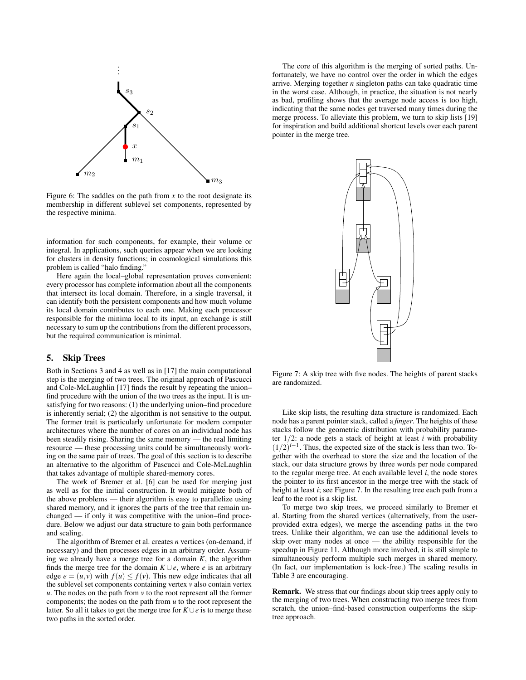

Figure 6: The saddles on the path from  $x$  to the root designate its membership in different sublevel set components, represented by the respective minima.

information for such components, for example, their volume or integral. In applications, such queries appear when we are looking for clusters in density functions; in cosmological simulations this problem is called "halo finding."

Here again the local–global representation proves convenient: every processor has complete information about all the components that intersect its local domain. Therefore, in a single traversal, it can identify both the persistent components and how much volume its local domain contributes to each one. Making each processor responsible for the minima local to its input, an exchange is still necessary to sum up the contributions from the different processors, but the required communication is minimal.

## 5. Skip Trees

Both in Sections 3 and 4 as well as in [17] the main computational step is the merging of two trees. The original approach of Pascucci and Cole-McLaughlin [17] finds the result by repeating the union– find procedure with the union of the two trees as the input. It is unsatisfying for two reasons: (1) the underlying union–find procedure is inherently serial; (2) the algorithm is not sensitive to the output. The former trait is particularly unfortunate for modern computer architectures where the number of cores on an individual node has been steadily rising. Sharing the same memory — the real limiting resource — these processing units could be simultaneously working on the same pair of trees. The goal of this section is to describe an alternative to the algorithm of Pascucci and Cole-McLaughlin that takes advantage of multiple shared-memory cores.

The work of Bremer et al. [6] can be used for merging just as well as for the initial construction. It would mitigate both of the above problems — their algorithm is easy to parallelize using shared memory, and it ignores the parts of the tree that remain unchanged — if only it was competitive with the union–find procedure. Below we adjust our data structure to gain both performance and scaling.

The algorithm of Bremer et al. creates *n* vertices (on-demand, if necessary) and then processes edges in an arbitrary order. Assuming we already have a merge tree for a domain *K*, the algorithm finds the merge tree for the domain  $K \cup e$ , where *e* is an arbitrary edge  $e = (u, v)$  with  $f(u) \leq f(v)$ . This new edge indicates that all the sublevel set components containing vertex *v* also contain vertex *. The nodes on the path from*  $*v*$  *to the root represent all the former* components; the nodes on the path from *u* to the root represent the latter. So all it takes to get the merge tree for  $K \cup e$  is to merge these two paths in the sorted order.

The core of this algorithm is the merging of sorted paths. Unfortunately, we have no control over the order in which the edges arrive. Merging together *n* singleton paths can take quadratic time in the worst case. Although, in practice, the situation is not nearly as bad, profiling shows that the average node access is too high, indicating that the same nodes get traversed many times during the merge process. To alleviate this problem, we turn to skip lists [19] for inspiration and build additional shortcut levels over each parent pointer in the merge tree.



Figure 7: A skip tree with five nodes. The heights of parent stacks are randomized.

Like skip lists, the resulting data structure is randomized. Each node has a parent pointer stack, called a *finger*. The heights of these stacks follow the geometric distribution with probability parameter 1/2: a node gets a stack of height at least *i* with probability  $(1/2)^{i-1}$ . Thus, the expected size of the stack is less than two. Together with the overhead to store the size and the location of the stack, our data structure grows by three words per node compared to the regular merge tree. At each available level *i*, the node stores the pointer to its first ancestor in the merge tree with the stack of height at least *i*; see Figure 7. In the resulting tree each path from a leaf to the root is a skip list.

To merge two skip trees, we proceed similarly to Bremer et al. Starting from the shared vertices (alternatively, from the userprovided extra edges), we merge the ascending paths in the two trees. Unlike their algorithm, we can use the additional levels to skip over many nodes at once — the ability responsible for the speedup in Figure 11. Although more involved, it is still simple to simultaneously perform multiple such merges in shared memory. (In fact, our implementation is lock-free.) The scaling results in Table 3 are encouraging.

Remark. We stress that our findings about skip trees apply only to the merging of two trees. When constructing two merge trees from scratch, the union–find-based construction outperforms the skiptree approach.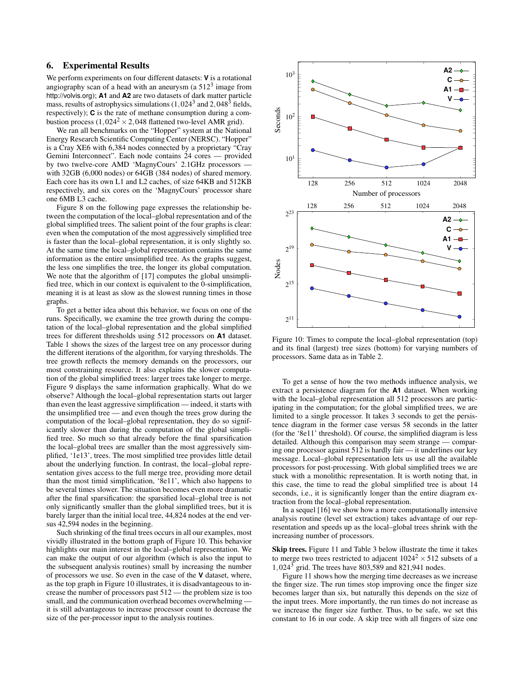## 6. Experimental Results

We perform experiments on four different datasets: **V** is a rotational angiography scan of a head with an aneurysm (a  $512<sup>3</sup>$  image from http://volvis.org); **A1** and **A2** are two datasets of dark matter particle mass, results of astrophysics simulations  $(1,024^3 \text{ and } 2,048^3 \text{ fields},$ respectively); **C** is the rate of methane consumption during a combustion process  $(1,024^2 \times 2,048$  flattened two-level AMR grid).

We ran all benchmarks on the "Hopper" system at the National Energy Research Scientific Computing Center (NERSC). "Hopper" is a Cray XE6 with 6,384 nodes connected by a proprietary "Cray Gemini Interconnect". Each node contains 24 cores — provided by two twelve-core AMD 'MagnyCours' 2.1GHz processors with 32GB (6,000 nodes) or 64GB (384 nodes) of shared memory. Each core has its own L1 and L2 caches, of size 64KB and 512KB respectively, and six cores on the 'MagnyCours' processor share one 6MB L3 cache.

Figure 8 on the following page expresses the relationship between the computation of the local–global representation and of the global simplified trees. The salient point of the four graphs is clear: even when the computation of the most aggressively simplified tree is faster than the local–global representation, it is only slightly so. At the same time the local–global representation contains the same information as the entire unsimplified tree. As the graphs suggest, the less one simplifies the tree, the longer its global computation. We note that the algorithm of [17] computes the global unsimplified tree, which in our context is equivalent to the 0-simplification, meaning it is at least as slow as the slowest running times in those graphs.

To get a better idea about this behavior, we focus on one of the runs. Specifically, we examine the tree growth during the computation of the local–global representation and the global simplified trees for different thresholds using 512 processors on **A1** dataset. Table 1 shows the sizes of the largest tree on any processor during the different iterations of the algorithm, for varying thresholds. The tree growth reflects the memory demands on the processors, our most constraining resource. It also explains the slower computation of the global simplified trees: larger trees take longer to merge. Figure 9 displays the same information graphically. What do we observe? Although the local–global representation starts out larger than even the least aggressive simplification — indeed, it starts with the unsimplified tree — and even though the trees grow during the computation of the local–global representation, they do so significantly slower than during the computation of the global simplified tree. So much so that already before the final sparsification the local–global trees are smaller than the most aggressively simplified, '1e13', trees. The most simplified tree provides little detail about the underlying function. In contrast, the local–global representation gives access to the full merge tree, providing more detail than the most timid simplification, '8e11', which also happens to be several times slower. The situation becomes even more dramatic after the final sparsification: the sparsified local–global tree is not only significantly smaller than the global simplified trees, but it is barely larger than the initial local tree, 44,824 nodes at the end versus 42,594 nodes in the beginning.

Such shrinking of the final trees occurs in all our examples, most vividly illustrated in the bottom graph of Figure 10. This behavior highlights our main interest in the local–global representation. We can make the output of our algorithm (which is also the input to the subsequent analysis routines) small by increasing the number of processors we use. So even in the case of the **V** dataset, where, as the top graph in Figure 10 illustrates, it is disadvantageous to increase the number of processors past 512 — the problem size is too small, and the communication overhead becomes overwhelming it is still advantageous to increase processor count to decrease the size of the per-processor input to the analysis routines.



Figure 10: Times to compute the local–global representation (top) and its final (largest) tree sizes (bottom) for varying numbers of processors. Same data as in Table 2.

To get a sense of how the two methods influence analysis, we extract a persistence diagram for the **A1** dataset. When working with the local–global representation all 512 processors are participating in the computation; for the global simplified trees, we are limited to a single processor. It takes 3 seconds to get the persistence diagram in the former case versus 58 seconds in the latter (for the '8e11' threshold). Of course, the simplified diagram is less detailed. Although this comparison may seem strange — comparing one processor against 512 is hardly fair — it underlines our key message. Local–global representation lets us use all the available processors for post-processing. With global simplified trees we are stuck with a monolithic representation. It is worth noting that, in this case, the time to read the global simplified tree is about 14 seconds, i.e., it is significantly longer than the entire diagram extraction from the local–global representation.

In a sequel [16] we show how a more computationally intensive analysis routine (level set extraction) takes advantage of our representation and speeds up as the local–global trees shrink with the increasing number of processors.

Skip trees. Figure 11 and Table 3 below illustrate the time it takes to merge two trees restricted to adjacent  $1024^2 \times 512$  subsets of a 1,024<sup>3</sup> grid. The trees have 803,589 and 821,941 nodes.

Figure 11 shows how the merging time decreases as we increase the finger size. The run times stop improving once the finger size becomes larger than six, but naturally this depends on the size of the input trees. More importantly, the run times do not increase as we increase the finger size further. Thus, to be safe, we set this constant to 16 in our code. A skip tree with all fingers of size one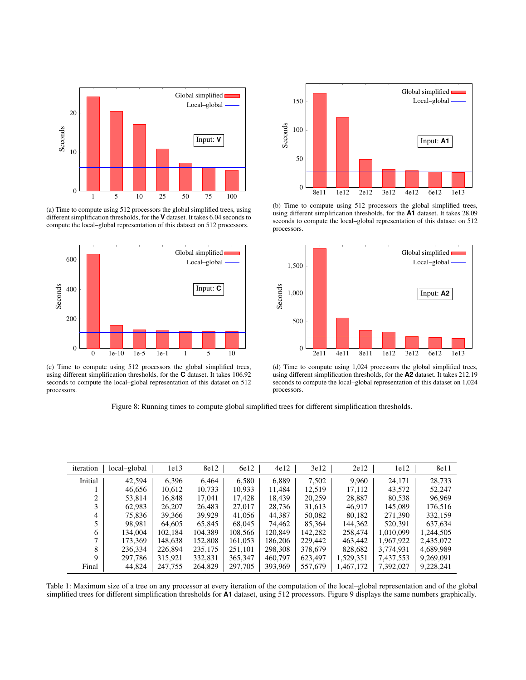

(a) Time to compute using 512 processors the global simplified trees, using different simplification thresholds, for the **V** dataset. It takes 6.04 seconds to compute the local–global representation of this dataset on 512 processors.



(c) Time to compute using 512 processors the global simplified trees, using different simplification thresholds, for the **C** dataset. It takes 106.92 seconds to compute the local–global representation of this dataset on 512 processors.

(b) Time to compute using 512 processors the global simplified trees, using different simplification thresholds, for the **A1** dataset. It takes 28.09 seconds to compute the local–global representation of this dataset on 512



(d) Time to compute using 1,024 processors the global simplified trees, using different simplification thresholds, for the **A2** dataset. It takes 212.19 seconds to compute the local–global representation of this dataset on 1,024 processors.

Figure 8: Running times to compute global simplified trees for different simplification thresholds.

| iteration | local-global | 1e13    | 8e12    | 6e12    | 4e12    | 3e12    | 2e12      | 1e12      | 8e11      |
|-----------|--------------|---------|---------|---------|---------|---------|-----------|-----------|-----------|
| Initial   | 42.594       | 6.396   | 6.464   | 6,580   | 6,889   | 7,502   | 9,960     | 24,171    | 28.733    |
|           | 46,656       | 10.612  | 10,733  | 10.933  | 11.484  | 12.519  | 17.112    | 43,572    | 52.247    |
|           | 53,814       | 16.848  | 17,041  | 17.428  | 18.439  | 20,259  | 28,887    | 80,538    | 96,969    |
| 3         | 62.983       | 26,207  | 26.483  | 27,017  | 28,736  | 31,613  | 46.917    | 145.089   | 176,516   |
| 4         | 75.836       | 39,366  | 39.929  | 41.056  | 44,387  | 50,082  | 80,182    | 271,390   | 332.159   |
|           | 98.981       | 64,605  | 65,845  | 68,045  | 74,462  | 85,364  | 144,362   | 520,391   | 637,634   |
| 6         | 134.004      | 102.184 | 104.389 | 108,566 | 120,849 | 142.282 | 258,474   | 1.010.099 | 1,244,505 |
|           | 173.369      | 148,638 | 152.808 | 161,053 | 186.206 | 229,442 | 463,442   | 1,967,922 | 2,435,072 |
| 8         | 236,334      | 226.894 | 235,175 | 251.101 | 298.308 | 378,679 | 828,682   | 3,774,931 | 4,689,989 |
| Q         | 297.786      | 315.921 | 332.831 | 365,347 | 460.797 | 623,497 | 1,529,351 | 7,437,553 | 9,269,091 |
| Final     | 44,824       | 247,755 | 264,829 | 297,705 | 393,969 | 557,679 | 1,467,172 | 7,392,027 | 9,228,241 |

Table 1: Maximum size of a tree on any processor at every iteration of the computation of the local–global representation and of the global simplified trees for different simplification thresholds for **A1** dataset, using 512 processors. Figure 9 displays the same numbers graphically.



processors.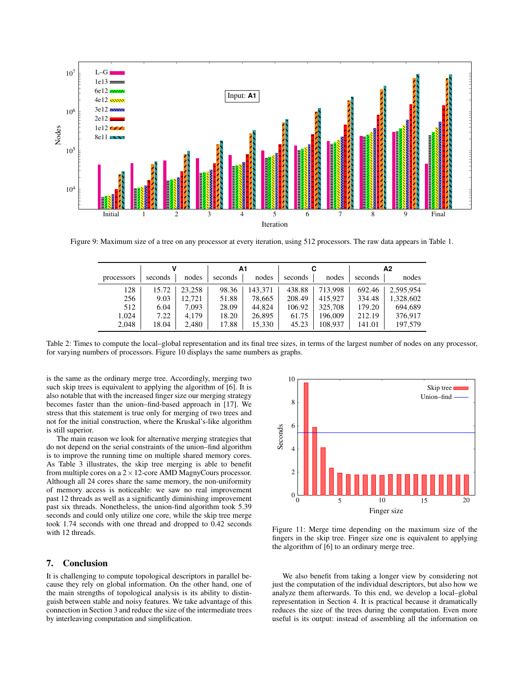

Figure 9: Maximum size of a tree on any processor at every iteration, using 512 processors. The raw data appears in Table 1.

|            |         |        | А1      |         |         |         | Α2      |           |
|------------|---------|--------|---------|---------|---------|---------|---------|-----------|
| processors | seconds | nodes  | seconds | nodes   | seconds | nodes   | seconds | nodes     |
| 128        | 15.72   | 23,258 | 98.36   | 143.371 | 438.88  | 713.998 | 692.46  | 2.595.954 |
| 256        | 9.03    | 12.721 | 51.88   | 78,665  | 208.49  | 415.927 | 334.48  | 1,328,602 |
| 512        | 6.04    | 7,093  | 28.09   | 44.824  | 106.92  | 325,708 | 179.20  | 694.689   |
| 1.024      | 7.22    | 4.179  | 18.20   | 26,895  | 61.75   | 196,009 | 212.19  | 376,917   |
| 2,048      | 18.04   | 2,480  | 17.88   | 15,330  | 45.23   | 108,937 | 141.01  | 197,579   |

Table 2: Times to compute the local–global representation and its final tree sizes, in terms of the largest number of nodes on any processor, for varying numbers of processors. Figure 10 displays the same numbers as graphs.

is the same as the ordinary merge tree. Accordingly, merging two such skip trees is equivalent to applying the algorithm of [6]. It is also notable that with the increased finger size our merging strategy becomes faster than the union–find-based approach in [17]. We stress that this statement is true only for merging of two trees and not for the initial construction, where the Kruskal's-like algorithm is still superior.

The main reason we look for alternative merging strategies that do not depend on the serial constraints of the union–find algorithm is to improve the running time on multiple shared memory cores. As Table 3 illustrates, the skip tree merging is able to benefit from multiple cores on a  $2 \times 12$ -core AMD MagnyCours processor. Although all 24 cores share the same memory, the non-uniformity of memory access is noticeable: we saw no real improvement past 12 threads as well as a significantly diminishing improvement past six threads. Nonetheless, the union-find algorithm took 5.39 seconds and could only utilize one core, while the skip tree merge took 1.74 seconds with one thread and dropped to 0.42 seconds with 12 threads.

#### 7. Conclusion

It is challenging to compute topological descriptors in parallel because they rely on global information. On the other hand, one of the main strengths of topological analysis is its ability to distinguish between stable and noisy features. We take advantage of this connection in Section 3 and reduce the size of the intermediate trees by interleaving computation and simplification.



Figure 11: Merge time depending on the maximum size of the fingers in the skip tree. Finger size one is equivalent to applying the algorithm of [6] to an ordinary merge tree.

We also benefit from taking a longer view by considering not just the computation of the individual descriptors, but also how we analyze them afterwards. To this end, we develop a local–global representation in Section 4. It is practical because it dramatically reduces the size of the trees during the computation. Even more useful is its output: instead of assembling all the information on